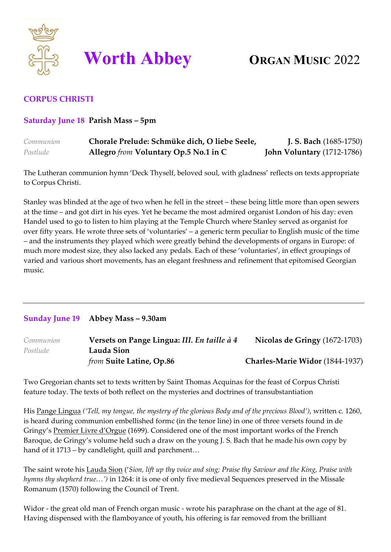

# **Worth Abbey ORGAN MUSIC** 2022

# **CORPUS CHRISTI**

## **Saturday June 18 Parish Mass – 5pm**

| Communion | Chorale Prelude: Schmüke dich, O liebe Seele, | <b>J. S. Bach</b> (1685-1750) |
|-----------|-----------------------------------------------|-------------------------------|
| Postlude  | Allegro from Voluntary Op.5 No.1 in C         | John Voluntary (1712-1786)    |

The Lutheran communion hymn 'Deck Thyself, beloved soul, with gladness' reflects on texts appropriate to Corpus Christi.

Stanley was blinded at the age of two when he fell in the street – these being little more than open sewers at the time – and got dirt in his eyes. Yet he became the most admired organist London of his day: even Handel used to go to listen to him playing at the Temple Church where Stanley served as organist for over fifty years. He wrote three sets of 'voluntaries' – a generic term peculiar to English music of the time – and the instruments they played which were greatly behind the developments of organs in Europe: of much more modest size, they also lacked any pedals. Each of these 'voluntaries', in effect groupings of varied and various short movements, has an elegant freshness and refinement that epitomised Georgian music.

### **Sunday June 19 Abbey Mass – 9.30am**

| Communion | Versets on Pange Lingua: III. En taille à 4 | Nicolas de Gringy (1672-1703)   |
|-----------|---------------------------------------------|---------------------------------|
| Postlude  | Lauda Sion                                  |                                 |
|           | from Suite Latine, Op.86                    | Charles-Marie Widor (1844-1937) |

Two Gregorian chants set to texts written by Saint Thomas Acquinas for the feast of Corpus Christi feature today. The texts of both reflect on the mysteries and doctrines of transubstantiation

His Pange Lingua *('Tell, my tongue, the mystery of the glorious Body and of the precious Blood')*, written c. 1260, is heard during communion embellished formc (in the tenor line) in one of three versets found in de Gringy's Premier Livre d'Orgue (1699). Considered one of the most important works of the French Baroque, de Gringy's volume held such a draw on the young J. S. Bach that he made his own copy by hand of it 1713 – by candlelight, quill and parchment...

The saint wrote his Lauda Sion ('*Sion, lift up thy voice and sing; Praise thy Saviour and the King, Praise with hymns thy shepherd true…')* in 1264: it is one of only five medieval Sequences preserved in the Missale Romanum (1570) following the Council of Trent.

Widor - the great old man of French organ music - wrote his paraphrase on the chant at the age of 81. Having dispensed with the flamboyance of youth, his offering is far removed from the brilliant